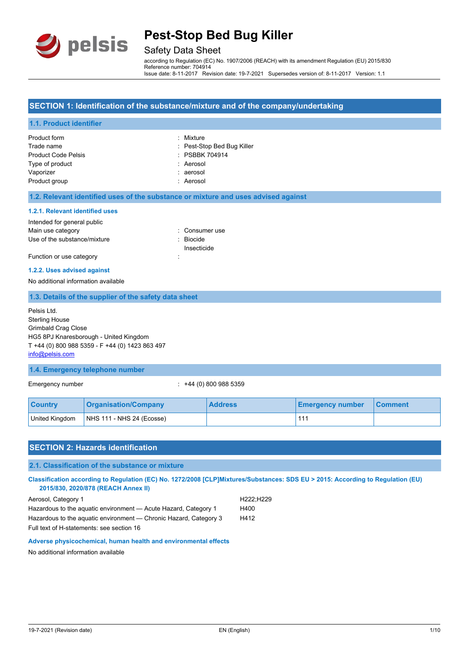

# Safety Data Sheet

according to Regulation (EC) No. 1907/2006 (REACH) with its amendment Regulation (EU) 2015/830 Reference number: 704914 Issue date: 8-11-2017 Revision date: 19-7-2021 Supersedes version of: 8-11-2017 Version: 1.1

#### **SECTION 1: Identification of the substance/mixture and of the company/undertaking**

#### **1.1. Product identifier**

| Product form               | : Mixture                  |
|----------------------------|----------------------------|
| Trade name                 | : Pest-Stop Bed Bug Killer |
| <b>Product Code Pelsis</b> | : PSBBK 704914             |
| Type of product            | : Aerosol                  |
| Vaporizer                  | : aerosol                  |
| Product group              | : Aerosol                  |

#### **1.2. Relevant identified uses of the substance or mixture and uses advised against**

#### **1.2.1. Relevant identified uses**

| Intended for general public  |                      |
|------------------------------|----------------------|
| Main use category            | : Consumer use       |
| Use of the substance/mixture | $\therefore$ Biocide |
|                              | Insecticide          |
| Function or use category     |                      |

## **1.2.2. Uses advised against**

No additional information available

#### **1.3. Details of the supplier of the safety data sheet**

Pelsis Ltd. Sterling House Grimbald Crag Close HG5 8PJ Knaresborough - United Kingdom T +44 (0) 800 988 5359 - F +44 (0) 1423 863 497 [info@pelsis.com](mailto:info@pelsis.com)

#### **1.4. Emergency telephone number**

Emergency number : +44 (0) 800 988 5359

| <b>Country</b> | Organisation/Company        | <b>Address</b> | <b>Emergency number</b> | ⊟Comment |
|----------------|-----------------------------|----------------|-------------------------|----------|
| United Kingdom | $NHS$ 111 - NHS 24 (Ecosse) |                | 111                     |          |

### **SECTION 2: Hazards identification**

#### **2.1. Classification of the substance or mixture**

**Classification according to Regulation (EC) No. 1272/2008 [CLP]Mixtures/Substances: SDS EU > 2015: According to Regulation (EU) 2015/830, 2020/878 (REACH Annex II)**

| Aerosol, Category 1                                               | H222:H229 |
|-------------------------------------------------------------------|-----------|
| Hazardous to the aguatic environment — Acute Hazard, Category 1   | H400      |
| Hazardous to the aquatic environment — Chronic Hazard, Category 3 | H412      |
| Full text of H-statements: see section 16                         |           |

### **Adverse physicochemical, human health and environmental effects**

No additional information available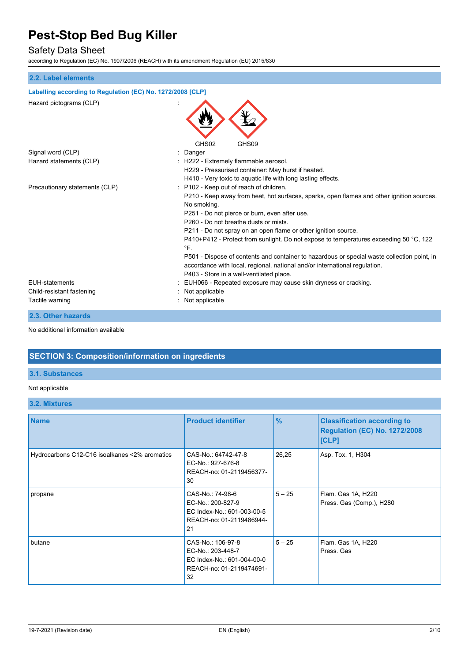## Safety Data Sheet

according to Regulation (EC) No. 1907/2006 (REACH) with its amendment Regulation (EU) 2015/830

# **2.2. Label elements Labelling according to Regulation (EC) No. 1272/2008 [CLP]** Hazard pictograms (CLP) : GHS02 GHS09 Signal word (CLP) in the state of the Signal word (CLP) in the Signal word of the Signal and Signal Signal and Signal and Signal and Signal and Signal and Signal and Signal and Signal and Signal and Signal and Signal and S Hazard statements (CLP)  $\qquad \qquad$ : H222 - Extremely flammable aerosol. H229 - Pressurised container: May burst if heated. H410 - Very toxic to aquatic life with long lasting effects. Precautionary statements (CLP) : P102 - Keep out of reach of children. P210 - Keep away from heat, hot surfaces, sparks, open flames and other ignition sources. No smoking. P251 - Do not pierce or burn, even after use. P260 - Do not breathe dusts or mists. P211 - Do not spray on an open flame or other ignition source. P410+P412 - Protect from sunlight. Do not expose to temperatures exceeding 50 °C, 122  $^{\circ}$ F P501 - Dispose of contents and container to hazardous or special waste collection point, in accordance with local, regional, national and/or international regulation. P403 - Store in a well-ventilated place. EUH-statements : EUH066 - Repeated exposure may cause skin dryness or cracking. Child-resistant fastening : Not applicable Tactile warning Tactile warning the state of the state of the state of the state of the state of the state of the state of the state of the state of the state of the state of the state of the state of the state of the stat

#### **2.3. Other hazards**

No additional information available

# **SECTION 3: Composition/information on ingredients**

### **3.1. Substances**

#### Not applicable

#### **3.2. Mixtures**

| <b>Name</b>                                   | <b>Product identifier</b>                                                                              | $\%$     | <b>Classification according to</b><br><b>Regulation (EC) No. 1272/2008</b><br>[CLP] |
|-----------------------------------------------|--------------------------------------------------------------------------------------------------------|----------|-------------------------------------------------------------------------------------|
| Hydrocarbons C12-C16 isoalkanes <2% aromatics | CAS-No.: 64742-47-8<br>EC-No.: 927-676-8<br>REACH-no: 01-2119456377-<br>30                             | 26,25    | Asp. Tox. 1, H304                                                                   |
| propane                                       | CAS-No.: 74-98-6<br>EC-No.: 200-827-9<br>EC Index-No.: 601-003-00-5<br>REACH-no: 01-2119486944-<br>21  | $5 - 25$ | Flam. Gas 1A, H220<br>Press. Gas (Comp.), H280                                      |
| butane                                        | CAS-No.: 106-97-8<br>EC-No.: 203-448-7<br>EC Index-No.: 601-004-00-0<br>REACH-no: 01-2119474691-<br>32 | $5 - 25$ | Flam. Gas 1A, H220<br>Press, Gas                                                    |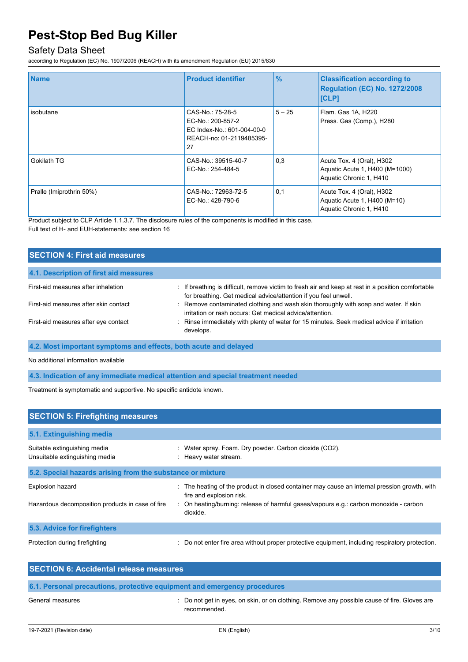# Safety Data Sheet

according to Regulation (EC) No. 1907/2006 (REACH) with its amendment Regulation (EU) 2015/830

| <b>Name</b>              | <b>Product identifier</b>                                                                             | $\frac{9}{6}$ | <b>Classification according to</b><br><b>Regulation (EC) No. 1272/2008</b><br><b>[CLP]</b> |
|--------------------------|-------------------------------------------------------------------------------------------------------|---------------|--------------------------------------------------------------------------------------------|
| isobutane                | CAS-No.: 75-28-5<br>EC-No.: 200-857-2<br>EC Index-No.: 601-004-00-0<br>REACH-no: 01-2119485395-<br>27 | $5 - 25$      | Flam. Gas 1A, H220<br>Press. Gas (Comp.), H280                                             |
| Gokilath TG              | CAS-No.: 39515-40-7<br>EC-No.: 254-484-5                                                              | 0,3           | Acute Tox. 4 (Oral), H302<br>Aguatic Acute 1, H400 (M=1000)<br>Aquatic Chronic 1, H410     |
| Pralle (Imiprothrin 50%) | CAS-No.: 72963-72-5<br>EC-No.: 428-790-6                                                              | 0.1           | Acute Tox. 4 (Oral), H302<br>Aquatic Acute 1, H400 (M=10)<br>Aquatic Chronic 1, H410       |

Product subject to CLP Article 1.1.3.7. The disclosure rules of the components is modified in this case. Full text of H- and EUH-statements: see section 16

| <b>SECTION 4: First aid measures</b>   |                                                                                                                                                                       |
|----------------------------------------|-----------------------------------------------------------------------------------------------------------------------------------------------------------------------|
| 4.1. Description of first aid measures |                                                                                                                                                                       |
| First-aid measures after inhalation    | : If breathing is difficult, remove victim to fresh air and keep at rest in a position comfortable<br>for breathing. Get medical advice/attention if you feel unwell. |
| First-aid measures after skin contact  | : Remove contaminated clothing and wash skin thoroughly with soap and water. If skin<br>irritation or rash occurs: Get medical advice/attention.                      |
| First-aid measures after eye contact   | : Rinse immediately with plenty of water for 15 minutes. Seek medical advice if irritation<br>develops.                                                               |

**4.2. Most important symptoms and effects, both acute and delayed**

No additional information available

**4.3. Indication of any immediate medical attention and special treatment needed**

Treatment is symptomatic and supportive. No specific antidote known.

| <b>SECTION 5: Firefighting measures</b>                        |                                                                                                                          |
|----------------------------------------------------------------|--------------------------------------------------------------------------------------------------------------------------|
| 5.1. Extinguishing media                                       |                                                                                                                          |
| Suitable extinguishing media<br>Unsuitable extinguishing media | : Water spray. Foam. Dry powder. Carbon dioxide (CO2).<br>: Heavy water stream.                                          |
| 5.2. Special hazards arising from the substance or mixture     |                                                                                                                          |
| <b>Explosion hazard</b>                                        | : The heating of the product in closed container may cause an internal pression growth, with<br>fire and explosion risk. |
| Hazardous decomposition products in case of fire               | : On heating/burning: release of harmful gases/vapours e.g.: carbon monoxide - carbon<br>dioxide.                        |
| 5.3. Advice for firefighters                                   |                                                                                                                          |
| Protection during firefighting                                 | : Do not enter fire area without proper protective equipment, including respiratory protection.                          |

| <b>SECTION 6: Accidental release measures</b>                            |                                                                                             |
|--------------------------------------------------------------------------|---------------------------------------------------------------------------------------------|
| 6.1. Personal precautions, protective equipment and emergency procedures |                                                                                             |
| $C$ anaral magaywan                                                      | . De not got in ouge, en okin er en elething. Demous any negoible cause of fire. Clauge are |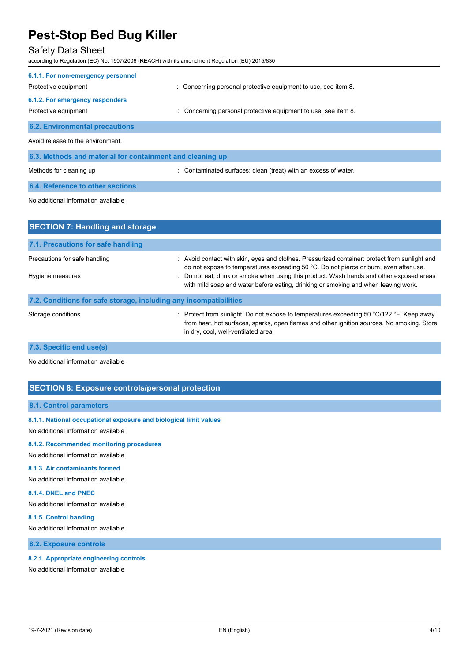# Safety Data Sheet

according to Regulation (EC) No. 1907/2006 (REACH) with its amendment Regulation (EU) 2015/830

| 6.1.1. For non-emergency personnel<br>Protective equipment | : Concerning personal protective equipment to use, see item 8.  |
|------------------------------------------------------------|-----------------------------------------------------------------|
| 6.1.2. For emergency responders<br>Protective equipment    | : Concerning personal protective equipment to use, see item 8.  |
| <b>6.2. Environmental precautions</b>                      |                                                                 |
| Avoid release to the environment.                          |                                                                 |
| 6.3. Methods and material for containment and cleaning up  |                                                                 |
| Methods for cleaning up                                    | : Contaminated surfaces: clean (treat) with an excess of water. |
| <b>6.4. Reference to other sections</b>                    |                                                                 |
| No additional information available                        |                                                                 |
| <b>SECTION 7: Handling and storage</b>                     |                                                                 |

| <b>SECTION 7: Handling and Storage</b>                            |                                                                                                                                                                                                                                                                                                                                                                          |
|-------------------------------------------------------------------|--------------------------------------------------------------------------------------------------------------------------------------------------------------------------------------------------------------------------------------------------------------------------------------------------------------------------------------------------------------------------|
| 7.1. Precautions for safe handling                                |                                                                                                                                                                                                                                                                                                                                                                          |
| Precautions for safe handling<br>Hygiene measures                 | : Avoid contact with skin, eyes and clothes. Pressurized container: protect from sunlight and<br>do not expose to temperatures exceeding 50 °C. Do not pierce or burn, even after use.<br>: Do not eat, drink or smoke when using this product. Wash hands and other exposed areas<br>with mild soap and water before eating, drinking or smoking and when leaving work. |
| 7.2. Conditions for safe storage, including any incompatibilities |                                                                                                                                                                                                                                                                                                                                                                          |
| Storage conditions                                                | : Protect from sunlight. Do not expose to temperatures exceeding 50 $\degree$ C/122 $\degree$ F. Keep away<br>from heat, hot surfaces, sparks, open flames and other ignition sources. No smoking. Store<br>in dry, cool, well-ventilated area.                                                                                                                          |

## **7.3. Specific end use(s)**

No additional information available

## **SECTION 8: Exposure controls/personal protection**

### **8.1. Control parameters**

### **8.1.1. National occupational exposure and biological limit values**

No additional information available

## **8.1.2. Recommended monitoring procedures**

No additional information available

### **8.1.3. Air contaminants formed**

No additional information available

#### **8.1.4. DNEL and PNEC**

No additional information available

#### **8.1.5. Control banding**

No additional information available

**8.2. Exposure controls**

#### **8.2.1. Appropriate engineering controls**

No additional information available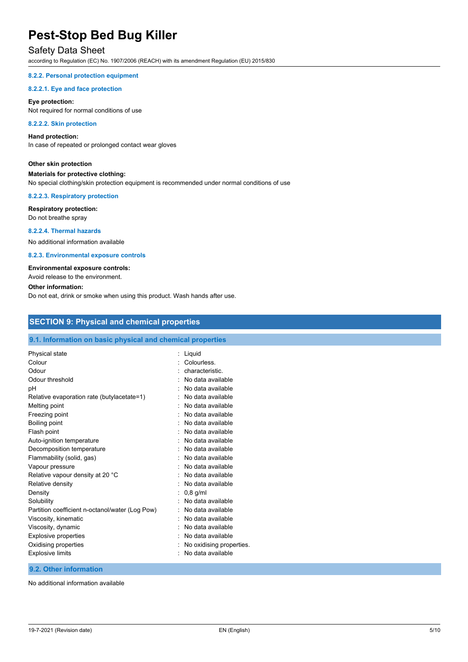# Safety Data Sheet

according to Regulation (EC) No. 1907/2006 (REACH) with its amendment Regulation (EU) 2015/830

#### **8.2.2. Personal protection equipment**

#### **8.2.2.1. Eye and face protection**

#### **Eye protection:**

Not required for normal conditions of use

#### **8.2.2.2. Skin protection**

#### **Hand protection:**

In case of repeated or prolonged contact wear gloves

### **Other skin protection**

#### **Materials for protective clothing:**

No special clothing/skin protection equipment is recommended under normal conditions of use

#### **8.2.2.3. Respiratory protection**

# **Respiratory protection:**

Do not breathe spray

### **8.2.2.4. Thermal hazards**

No additional information available

#### **8.2.3. Environmental exposure controls**

#### **Environmental exposure controls:**

Avoid release to the environment.

#### **Other information:**

Do not eat, drink or smoke when using this product. Wash hands after use.

## **SECTION 9: Physical and chemical properties**

### **9.1. Information on basic physical and chemical properties**

| Colour                                          | Colourless.              |
|-------------------------------------------------|--------------------------|
| Odour                                           | characteristic.          |
| Odour threshold                                 | No data available        |
| рH                                              | No data available        |
| Relative evaporation rate (butylacetate=1)      | No data available        |
| Melting point                                   | No data available        |
| Freezing point                                  | No data available        |
| Boiling point                                   | No data available        |
| Flash point                                     | No data available        |
| Auto-ignition temperature                       | No data available        |
| Decomposition temperature                       | No data available        |
| Flammability (solid, gas)                       | No data available        |
| Vapour pressure                                 | No data available        |
| Relative vapour density at 20 °C                | No data available        |
| Relative density                                | No data available        |
| Density<br>$0.8$ g/ml                           |                          |
| Solubility                                      | No data available        |
| Partition coefficient n-octanol/water (Log Pow) | No data available        |
| Viscosity, kinematic                            | No data available        |
| Viscosity, dynamic                              | No data available        |
| <b>Explosive properties</b>                     | No data available        |
| Oxidising properties                            | No oxidising properties. |
| <b>Explosive limits</b>                         | No data available        |

### **9.2. Other information**

No additional information available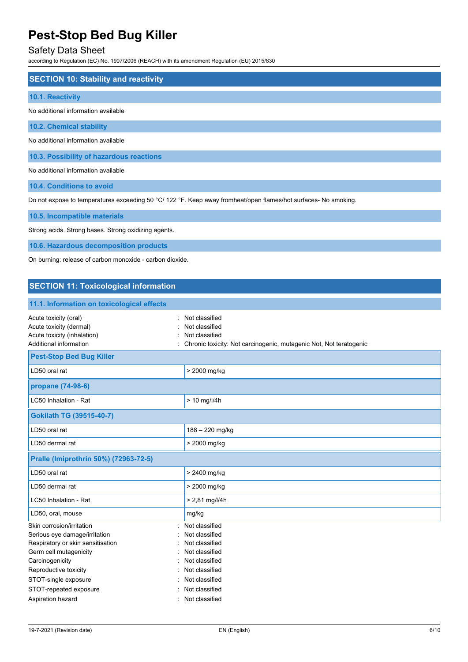# Safety Data Sheet

according to Regulation (EC) No. 1907/2006 (REACH) with its amendment Regulation (EU) 2015/830

| <b>SECTION 10: Stability and reactivity</b> |
|---------------------------------------------|
| 10.1. Reactivity                            |
| No additional information available         |
| <b>10.2. Chemical stability</b>             |
| No additional information available         |
| 10.3. Possibility of hazardous reactions    |
| No additional information available         |

**10.4. Conditions to avoid**

Do not expose to temperatures exceeding 50 °C/ 122 °F. Keep away fromheat/open flames/hot surfaces- No smoking.

**10.5. Incompatible materials**

Strong acids. Strong bases. Strong oxidizing agents.

**10.6. Hazardous decomposition products**

On burning: release of carbon monoxide - carbon dioxide.

## **SECTION 11: Toxicological information**

| 11.1. Information on toxicological effects                                                                                                                                                                              |                                                                                                                                              |
|-------------------------------------------------------------------------------------------------------------------------------------------------------------------------------------------------------------------------|----------------------------------------------------------------------------------------------------------------------------------------------|
| Acute toxicity (oral)<br>Acute toxicity (dermal)<br>Acute toxicity (inhalation)<br>Additional information                                                                                                               | Not classified<br>Not classified<br>Not classified<br>Chronic toxicity: Not carcinogenic, mutagenic Not, Not teratogenic                     |
| <b>Pest-Stop Bed Bug Killer</b>                                                                                                                                                                                         |                                                                                                                                              |
| LD50 oral rat                                                                                                                                                                                                           | > 2000 mg/kg                                                                                                                                 |
| propane (74-98-6)                                                                                                                                                                                                       |                                                                                                                                              |
| LC50 Inhalation - Rat                                                                                                                                                                                                   | $> 10$ mg/l/4h                                                                                                                               |
| Gokilath TG (39515-40-7)                                                                                                                                                                                                |                                                                                                                                              |
| LD50 oral rat                                                                                                                                                                                                           | 188 - 220 mg/kg                                                                                                                              |
| LD50 dermal rat                                                                                                                                                                                                         | > 2000 mg/kg                                                                                                                                 |
| Pralle (Imiprothrin 50%) (72963-72-5)                                                                                                                                                                                   |                                                                                                                                              |
| LD50 oral rat                                                                                                                                                                                                           | > 2400 mg/kg                                                                                                                                 |
| LD50 dermal rat                                                                                                                                                                                                         | > 2000 mg/kg                                                                                                                                 |
| LC50 Inhalation - Rat                                                                                                                                                                                                   | $> 2.81$ mg/l/4h                                                                                                                             |
| LD50, oral, mouse                                                                                                                                                                                                       | mg/kg                                                                                                                                        |
| Skin corrosion/irritation<br>Serious eye damage/irritation<br>Respiratory or skin sensitisation<br>Germ cell mutagenicity<br>Carcinogenicity<br>Reproductive toxicity<br>STOT-single exposure<br>STOT-repeated exposure | Not classified<br>Not classified<br>Not classified<br>Not classified<br>Not classified<br>Not classified<br>Not classified<br>Not classified |
| Aspiration hazard                                                                                                                                                                                                       | Not classified                                                                                                                               |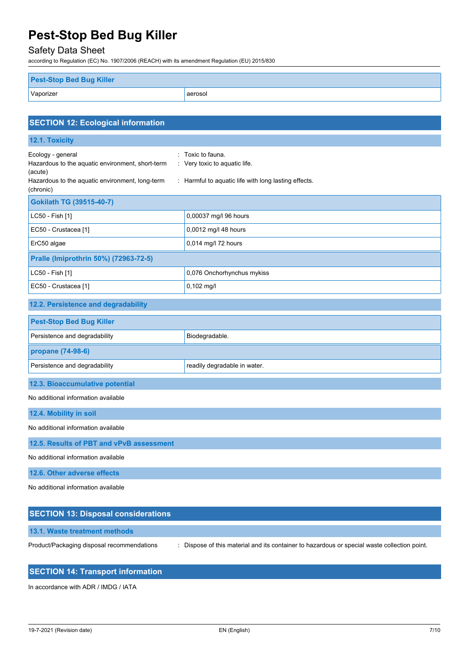Safety Data Sheet

according to Regulation (EC) No. 1907/2006 (REACH) with its amendment Regulation (EU) 2015/830

| <b>Pest-Stop Bed Bug Killer</b> |         |
|---------------------------------|---------|
| Vaporizer                       | aerosol |

| <b>SECTION 12: Ecological information</b>                                                                                                        |                                                                                                            |  |
|--------------------------------------------------------------------------------------------------------------------------------------------------|------------------------------------------------------------------------------------------------------------|--|
| 12.1. Toxicity                                                                                                                                   |                                                                                                            |  |
| Ecology - general<br>Hazardous to the aquatic environment, short-term<br>(acute)<br>Hazardous to the aquatic environment, long-term<br>(chronic) | : Toxic to fauna.<br>: Very toxic to aquatic life.<br>: Harmful to aquatic life with long lasting effects. |  |
| Gokilath TG (39515-40-7)                                                                                                                         |                                                                                                            |  |
| LC50 - Fish [1]                                                                                                                                  | 0,00037 mg/l 96 hours                                                                                      |  |
| EC50 - Crustacea [1]                                                                                                                             | 0,0012 mg/l 48 hours                                                                                       |  |
| ErC50 algae                                                                                                                                      | 0,014 mg/l 72 hours                                                                                        |  |
| Pralle (Imiprothrin 50%) (72963-72-5)                                                                                                            |                                                                                                            |  |
| LC50 - Fish [1]                                                                                                                                  | 0,076 Onchorhynchus mykiss                                                                                 |  |
| EC50 - Crustacea [1]                                                                                                                             | $0,102$ mg/l                                                                                               |  |
| 12.2. Persistence and degradability                                                                                                              |                                                                                                            |  |
| <b>Pest-Stop Bed Bug Killer</b>                                                                                                                  |                                                                                                            |  |
| Persistence and degradability                                                                                                                    | Biodegradable.                                                                                             |  |
| propane (74-98-6)                                                                                                                                |                                                                                                            |  |
| Persistence and degradability                                                                                                                    | readily degradable in water.                                                                               |  |
| 12.3. Bioaccumulative potential                                                                                                                  |                                                                                                            |  |
| No additional information available                                                                                                              |                                                                                                            |  |
| 12.4. Mobility in soil                                                                                                                           |                                                                                                            |  |
| No additional information available                                                                                                              |                                                                                                            |  |
| 12.5. Results of PBT and vPvB assessment                                                                                                         |                                                                                                            |  |
| No additional information available                                                                                                              |                                                                                                            |  |
| 12.6. Other adverse effects                                                                                                                      |                                                                                                            |  |
| No additional information available                                                                                                              |                                                                                                            |  |

| <b>SECTION 13: Disposal considerations</b> |                                                                                              |
|--------------------------------------------|----------------------------------------------------------------------------------------------|
| 13.1. Waste treatment methods              |                                                                                              |
| Product/Packaging disposal recommendations | : Dispose of this material and its container to hazardous or special waste collection point. |

# **SECTION 14: Transport information**

In accordance with ADR / IMDG / IATA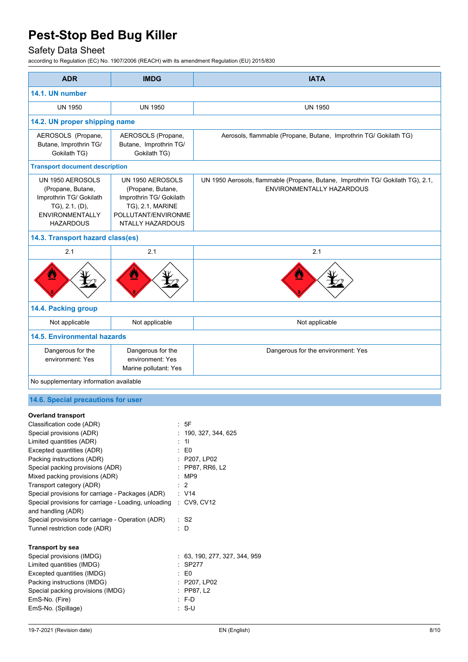# Safety Data Sheet

according to Regulation (EC) No. 1907/2006 (REACH) with its amendment Regulation (EU) 2015/830

| <b>ADR</b>                                                                                                                                                                                                                                                                                                                                                                                                                                                                                          | <b>IMDG</b>                                                                                                                     |                                                                                                                                                           | <b>IATA</b>                                                                                                  |
|-----------------------------------------------------------------------------------------------------------------------------------------------------------------------------------------------------------------------------------------------------------------------------------------------------------------------------------------------------------------------------------------------------------------------------------------------------------------------------------------------------|---------------------------------------------------------------------------------------------------------------------------------|-----------------------------------------------------------------------------------------------------------------------------------------------------------|--------------------------------------------------------------------------------------------------------------|
| 14.1. UN number                                                                                                                                                                                                                                                                                                                                                                                                                                                                                     |                                                                                                                                 |                                                                                                                                                           |                                                                                                              |
| <b>UN 1950</b>                                                                                                                                                                                                                                                                                                                                                                                                                                                                                      | <b>UN 1950</b>                                                                                                                  |                                                                                                                                                           | <b>UN 1950</b>                                                                                               |
| 14.2. UN proper shipping name                                                                                                                                                                                                                                                                                                                                                                                                                                                                       |                                                                                                                                 |                                                                                                                                                           |                                                                                                              |
| AEROSOLS (Propane,<br>Butane, Improthrin TG/<br>Gokilath TG)                                                                                                                                                                                                                                                                                                                                                                                                                                        | AEROSOLS (Propane,<br>Butane, Improthrin TG/<br>Gokilath TG)                                                                    |                                                                                                                                                           | Aerosols, flammable (Propane, Butane, Improthrin TG/ Gokilath TG)                                            |
| <b>Transport document description</b>                                                                                                                                                                                                                                                                                                                                                                                                                                                               |                                                                                                                                 |                                                                                                                                                           |                                                                                                              |
| UN 1950 AEROSOLS<br>(Propane, Butane,<br>Improthrin TG/ Gokilath<br>TG), 2.1, (D),<br><b>ENVIRONMENTALLY</b><br><b>HAZARDOUS</b>                                                                                                                                                                                                                                                                                                                                                                    | UN 1950 AEROSOLS<br>(Propane, Butane,<br>Improthrin TG/ Gokilath<br>TG), 2.1, MARINE<br>POLLUTANT/ENVIRONME<br>NTALLY HAZARDOUS |                                                                                                                                                           | UN 1950 Aerosols, flammable (Propane, Butane, Improthrin TG/ Gokilath TG), 2.1,<br>ENVIRONMENTALLY HAZARDOUS |
| 14.3. Transport hazard class(es)                                                                                                                                                                                                                                                                                                                                                                                                                                                                    |                                                                                                                                 |                                                                                                                                                           |                                                                                                              |
| 2.1                                                                                                                                                                                                                                                                                                                                                                                                                                                                                                 | 2.1                                                                                                                             |                                                                                                                                                           | 2.1                                                                                                          |
|                                                                                                                                                                                                                                                                                                                                                                                                                                                                                                     |                                                                                                                                 |                                                                                                                                                           |                                                                                                              |
| 14.4. Packing group                                                                                                                                                                                                                                                                                                                                                                                                                                                                                 |                                                                                                                                 |                                                                                                                                                           |                                                                                                              |
| Not applicable                                                                                                                                                                                                                                                                                                                                                                                                                                                                                      | Not applicable                                                                                                                  |                                                                                                                                                           | Not applicable                                                                                               |
| <b>14.5. Environmental hazards</b>                                                                                                                                                                                                                                                                                                                                                                                                                                                                  |                                                                                                                                 |                                                                                                                                                           |                                                                                                              |
| Dangerous for the<br>environment: Yes                                                                                                                                                                                                                                                                                                                                                                                                                                                               | Dangerous for the<br>environment: Yes<br>Marine pollutant: Yes                                                                  |                                                                                                                                                           | Dangerous for the environment: Yes                                                                           |
| No supplementary information available                                                                                                                                                                                                                                                                                                                                                                                                                                                              |                                                                                                                                 |                                                                                                                                                           |                                                                                                              |
| 14.6. Special precautions for user                                                                                                                                                                                                                                                                                                                                                                                                                                                                  |                                                                                                                                 |                                                                                                                                                           |                                                                                                              |
| <b>Overland transport</b><br>Classification code (ADR)<br>Special provisions (ADR)<br>Limited quantities (ADR)<br>Excepted quantities (ADR)<br>Packing instructions (ADR)<br>Special packing provisions (ADR)<br>Mixed packing provisions (ADR)<br>Transport category (ADR)<br>Special provisions for carriage - Packages (ADR)<br>Special provisions for carriage - Loading, unloading<br>and handling (ADR)<br>Special provisions for carriage - Operation (ADR)<br>Tunnel restriction code (ADR) | $\therefore$ D                                                                                                                  | : 5F<br>190, 327, 344, 625<br>11<br>E <sub>0</sub><br>P207, LP02<br>: PP87, RR6, L2<br>: MP9<br>$\overline{2}$<br>: V14<br>: CV9, CV12<br>$\therefore$ S2 |                                                                                                              |
| <b>Transport by sea</b><br>Special provisions (IMDG)<br>Limited quantities (IMDG)<br>Excepted quantities (IMDG)<br>Packing instructions (IMDG)<br>Special packing provisions (IMDG)<br>EmS-No. (Fire)                                                                                                                                                                                                                                                                                               |                                                                                                                                 | SP277<br>E <sub>0</sub><br>P207, LP02<br>PP87, L2<br>$: F-D$                                                                                              | : 63, 190, 277, 327, 344, 959                                                                                |

EmS-No. (Spillage)

EmS-No. (Fire)  $\therefore$  F-D<br>EmS-No. (Spillage)  $\therefore$  S-U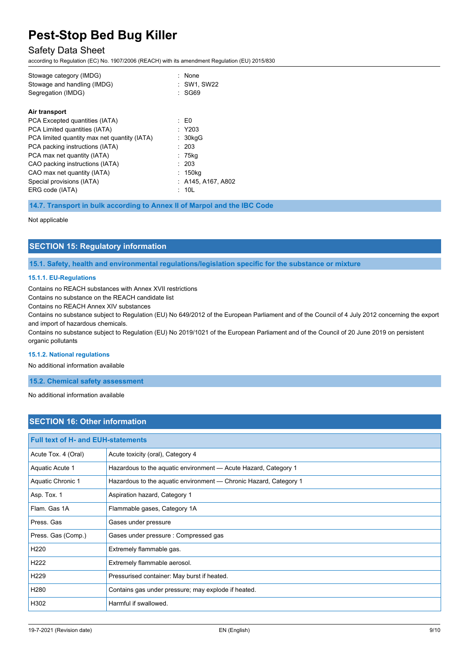## Safety Data Sheet

according to Regulation (EC) No. 1907/2006 (REACH) with its amendment Regulation (EU) 2015/830

| Segregation (IMDG)<br>SG69                            |  |
|-------------------------------------------------------|--|
| Air transport                                         |  |
| PCA Excepted quantities (IATA)<br>: E0                |  |
| $:$ Y203<br>PCA Limited quantities (IATA)             |  |
| PCA limited quantity max net quantity (IATA)<br>30kgG |  |
| PCA packing instructions (IATA)<br>: 203              |  |
| PCA max net quantity (IATA)<br>75kg                   |  |
| : 203<br>CAO packing instructions (IATA)              |  |
| CAO max net quantity (IATA)<br>: 150kg                |  |
| Special provisions (IATA)<br>: A145, A167, A802       |  |
| ERG code (IATA)<br>: 10L                              |  |

**14.7. Transport in bulk according to Annex II of Marpol and the IBC Code**

#### Not applicable

## **SECTION 15: Regulatory information**

**15.1. Safety, health and environmental regulations/legislation specific for the substance or mixture**

#### **15.1.1. EU-Regulations**

Contains no REACH substances with Annex XVII restrictions

Contains no substance on the REACH candidate list

Contains no REACH Annex XIV substances

Contains no substance subject to Regulation (EU) No 649/2012 of the European Parliament and of the Council of 4 July 2012 concerning the export and import of hazardous chemicals.

Contains no substance subject to Regulation (EU) No 2019/1021 of the European Parliament and of the Council of 20 June 2019 on persistent organic pollutants

#### **15.1.2. National regulations**

No additional information available

#### **15.2. Chemical safety assessment**

No additional information available

## **SECTION 16: Other information**

| <b>Full text of H- and EUH-statements</b> |                                                                   |  |
|-------------------------------------------|-------------------------------------------------------------------|--|
| Acute Tox. 4 (Oral)                       | Acute toxicity (oral), Category 4                                 |  |
| Aquatic Acute 1                           | Hazardous to the aquatic environment - Acute Hazard, Category 1   |  |
| Aquatic Chronic 1                         | Hazardous to the aquatic environment - Chronic Hazard, Category 1 |  |
| Asp. Tox. 1                               | Aspiration hazard, Category 1                                     |  |
| Flam, Gas 1A                              | Flammable gases, Category 1A                                      |  |
| Press, Gas                                | Gases under pressure                                              |  |
| Press. Gas (Comp.)                        | Gases under pressure : Compressed gas                             |  |
| H <sub>220</sub>                          | Extremely flammable gas.                                          |  |
| H <sub>222</sub>                          | Extremely flammable aerosol.                                      |  |
| H <sub>229</sub>                          | Pressurised container: May burst if heated.                       |  |
| H <sub>280</sub>                          | Contains gas under pressure; may explode if heated.               |  |
| H302                                      | Harmful if swallowed.                                             |  |